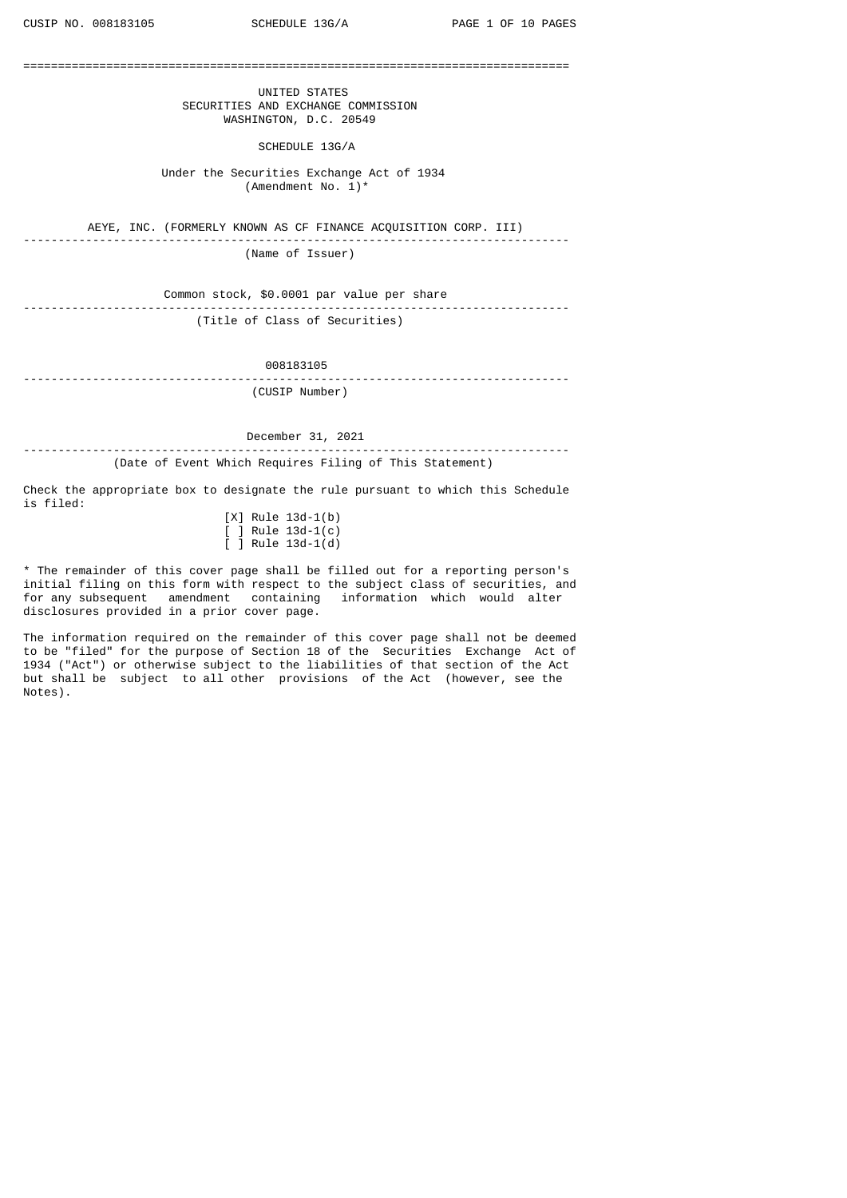===============================================================================

 UNITED STATES SECURITIES AND EXCHANGE COMMISSION WASHINGTON, D.C. 20549

SCHEDULE 13G/A

 Under the Securities Exchange Act of 1934 (Amendment No. 1)\*

AEYE, INC. (FORMERLY KNOWN AS CF FINANCE ACQUISITION CORP. III)

------------------------------------------------------------------------------- (Name of Issuer)

Common stock, \$0.0001 par value per share ------------------------------------------------------------------------------- (Title of Class of Securities)

008183105

------------------------------------------------------------------------------- (CUSIP Number)

December 31, 2021

------------------------------------------------------------------------------- (Date of Event Which Requires Filing of This Statement)

Check the appropriate box to designate the rule pursuant to which this Schedule is filed:

|  | $[X]$ Rule 13d-1(b)             |  |
|--|---------------------------------|--|
|  | $\lceil$ $\rceil$ Rule 13d-1(c) |  |
|  | $\lceil$ $\rceil$ Rule 13d-1(d) |  |

\* The remainder of this cover page shall be filled out for a reporting person's initial filing on this form with respect to the subject class of securities, and for any subsequent amendment containing information which would alter disclosures provided in a prior cover page.

The information required on the remainder of this cover page shall not be deemed to be "filed" for the purpose of Section 18 of the Securities Exchange Act of 1934 ("Act") or otherwise subject to the liabilities of that section of the Act but shall be subject to all other provisions of the Act (however, see the Notes).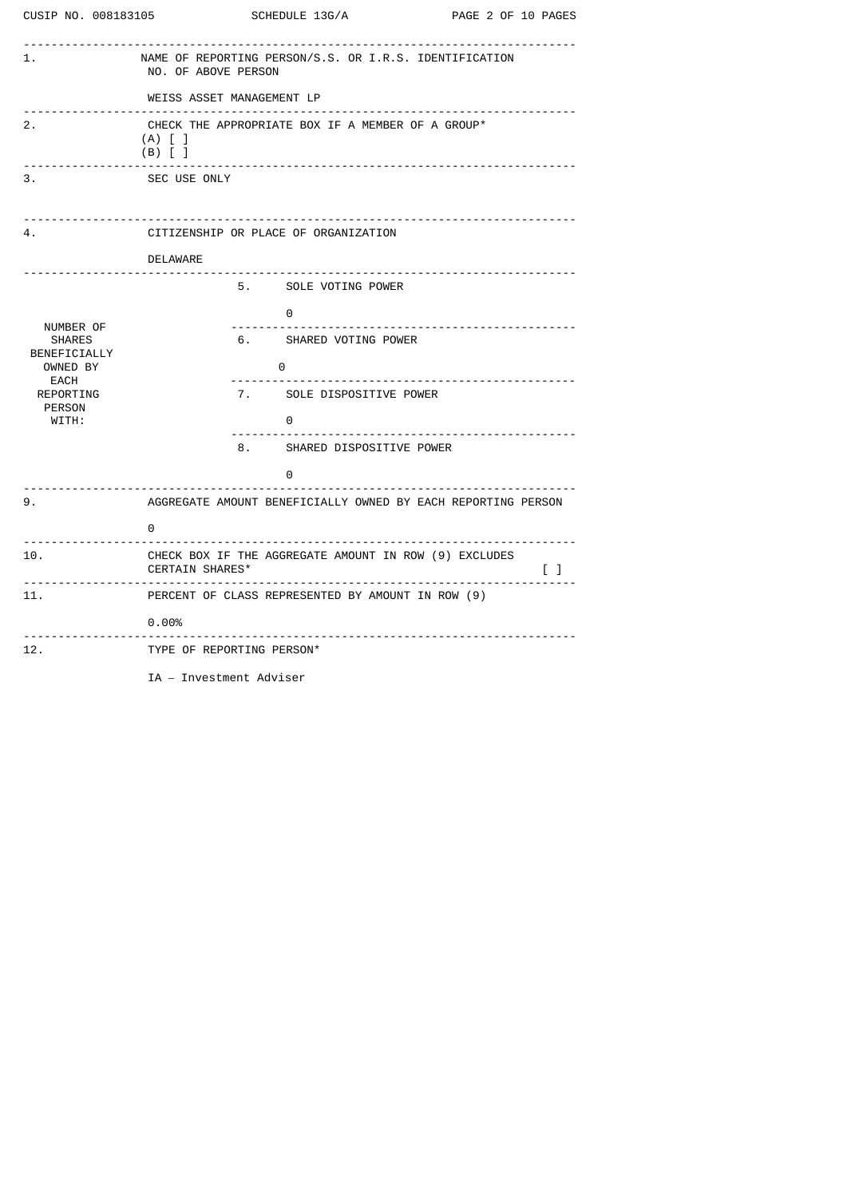|                                                                                                              | CUSIP NO. 008183105 SCHEDULE 13G/A                                                                              | PAGE 2 OF 10 PAGES |
|--------------------------------------------------------------------------------------------------------------|-----------------------------------------------------------------------------------------------------------------|--------------------|
| 1.                                                                                                           | NAME OF REPORTING PERSON/S.S. OR I.R.S. IDENTIFICATION<br>NO. OF ABOVE PERSON                                   |                    |
|                                                                                                              | WEISS ASSET MANAGEMENT LP                                                                                       |                    |
| 2.                                                                                                           | CHECK THE APPROPRIATE BOX IF A MEMBER OF A GROUP*<br>$(A)$ $[$ $]$<br>$(B)$ $[$ $]$                             |                    |
| 3.                                                                                                           | SEC USE ONLY                                                                                                    |                    |
| 4.                                                                                                           | CITIZENSHIP OR PLACE OF ORGANIZATION                                                                            |                    |
|                                                                                                              | <b>DELAWARE</b>                                                                                                 |                    |
|                                                                                                              | 5. SOLE VOTING POWER                                                                                            |                    |
| NUMBER OF<br><b>SHARES</b><br>BENEFICIALLY<br>OWNED BY<br><b>EACH</b><br>REPORTING<br><b>PERSON</b><br>WITH: | 0<br>6. SHARED VOTING POWER<br>$\Theta$<br>7. SOLE DISPOSITIVE POWER<br>$\Theta$<br>8. SHARED DISPOSITIVE POWER |                    |
|                                                                                                              | 0                                                                                                               |                    |
| 9.                                                                                                           | AGGREGATE AMOUNT BENEFICIALLY OWNED BY EACH REPORTING PERSON<br>0                                               |                    |
| 10.                                                                                                          | CHECK BOX IF THE AGGREGATE AMOUNT IN ROW (9) EXCLUDES<br>CERTAIN SHARES*                                        | $\Box$             |
| 11.                                                                                                          | PERCENT OF CLASS REPRESENTED BY AMOUNT IN ROW (9)                                                               |                    |
|                                                                                                              | 0.00%                                                                                                           |                    |
| 12.                                                                                                          | TYPE OF REPORTING PERSON*                                                                                       |                    |

IA – Investment Adviser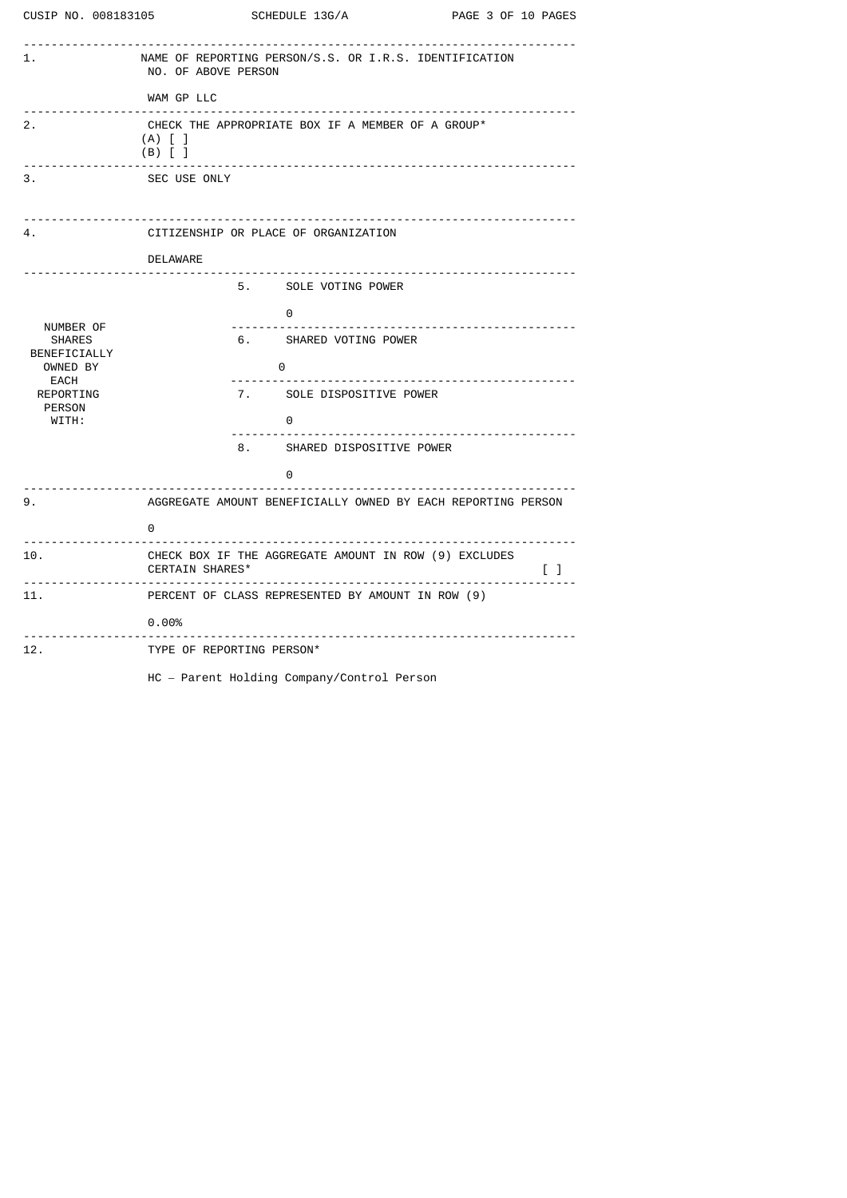| CUSIP NO. 008183105                | SCHEDULE 13G/A                                                                                          |                                                       | PAGE 3 OF 10 PAGES |                                                                                                                                   |
|------------------------------------|---------------------------------------------------------------------------------------------------------|-------------------------------------------------------|--------------------|-----------------------------------------------------------------------------------------------------------------------------------|
| 1.                                 | NAME OF REPORTING PERSON/S.S. OR I.R.S. IDENTIFICATION<br>NO. OF ABOVE PERSON                           |                                                       |                    |                                                                                                                                   |
|                                    | WAM GP LLC<br>.                                                                                         |                                                       |                    |                                                                                                                                   |
| 2.<br>.                            | CHECK THE APPROPRIATE BOX IF A MEMBER OF A GROUP*<br>$(A)$ $\lceil$ $\rceil$<br>$(B)$ $\lceil$ $\rceil$ |                                                       |                    |                                                                                                                                   |
| 3.                                 | SEC USE ONLY                                                                                            |                                                       |                    |                                                                                                                                   |
| 4.                                 | CITIZENSHIP OR PLACE OF ORGANIZATION                                                                    |                                                       |                    |                                                                                                                                   |
|                                    | DELAWARE                                                                                                |                                                       |                    |                                                                                                                                   |
|                                    |                                                                                                         | 5. SOLE VOTING POWER                                  |                    |                                                                                                                                   |
|                                    | $\bullet$                                                                                               |                                                       |                    |                                                                                                                                   |
| NUMBER OF<br><b>SHARES</b>         |                                                                                                         | 6. SHARED VOTING POWER                                |                    |                                                                                                                                   |
| BENEFICIALLY<br>OWNED BY           | $\Theta$                                                                                                |                                                       |                    |                                                                                                                                   |
| EACH<br>REPORTING<br><b>PERSON</b> |                                                                                                         | 7. SOLE DISPOSITIVE POWER                             |                    |                                                                                                                                   |
| WITH:                              | $\Theta$                                                                                                |                                                       |                    |                                                                                                                                   |
|                                    |                                                                                                         | 8. SHARED DISPOSITIVE POWER                           |                    |                                                                                                                                   |
|                                    | $\Theta$                                                                                                |                                                       |                    |                                                                                                                                   |
| 9.                                 | AGGREGATE AMOUNT BENEFICIALLY OWNED BY EACH REPORTING PERSON                                            |                                                       |                    |                                                                                                                                   |
| .                                  | 0                                                                                                       |                                                       |                    |                                                                                                                                   |
| 10.                                | CERTAIN SHARES*                                                                                         | CHECK BOX IF THE AGGREGATE AMOUNT IN ROW (9) EXCLUDES |                    | $\begin{array}{ccc} \begin{array}{ccc} \end{array} & \begin{array}{ccc} \end{array} & \begin{array}{ccc} \end{array} \end{array}$ |
| 11.                                |                                                                                                         | PERCENT OF CLASS REPRESENTED BY AMOUNT IN ROW (9)     |                    |                                                                                                                                   |
| <u> - - - - - - - - - - - - -</u>  | $0.00\%$                                                                                                |                                                       |                    |                                                                                                                                   |
| 12.                                | TYPE OF REPORTING PERSON*                                                                               |                                                       |                    |                                                                                                                                   |
|                                    | HC - Parent Holding Company/Control Person                                                              |                                                       |                    |                                                                                                                                   |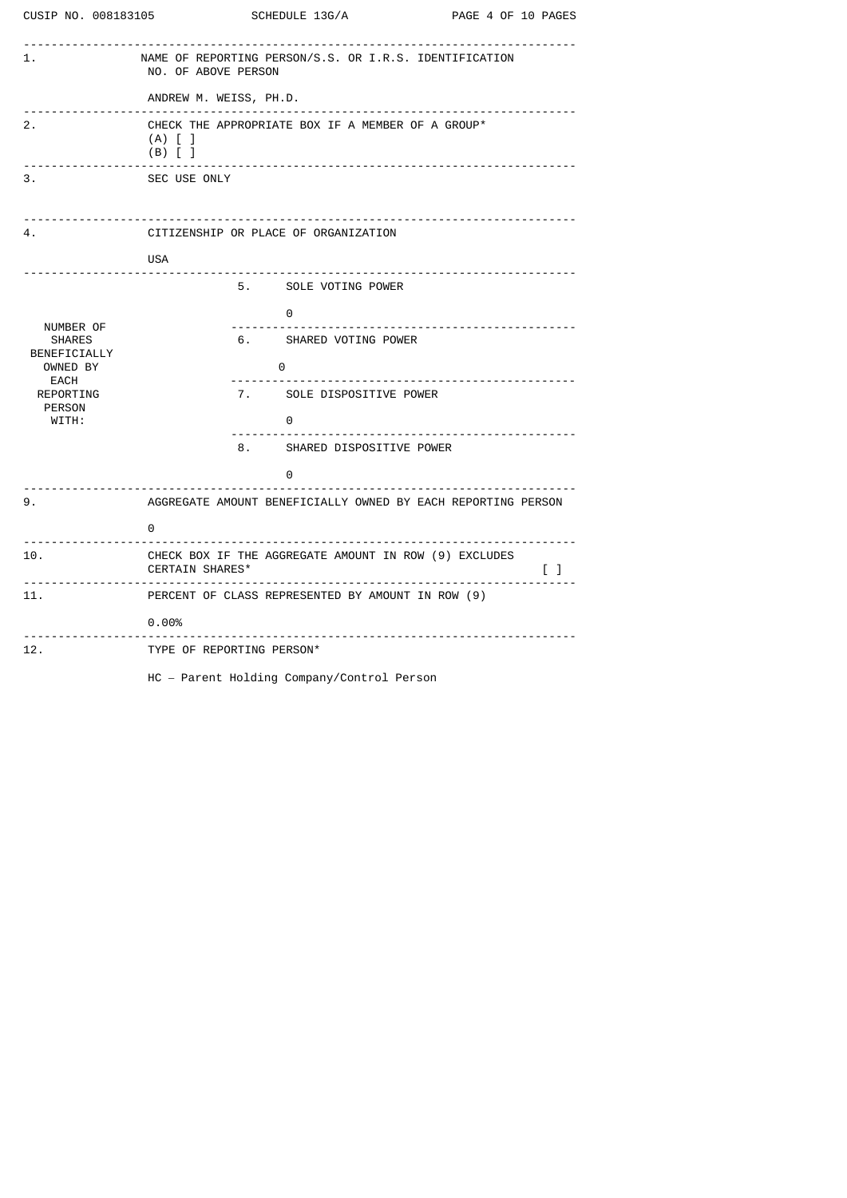|                                                                                                       | CUSIP NO. 008183105 SCHEDULE 13G/A                                                                                               | PAGE 4 OF 10 PAGES                  |
|-------------------------------------------------------------------------------------------------------|----------------------------------------------------------------------------------------------------------------------------------|-------------------------------------|
| 1.                                                                                                    | NAME OF REPORTING PERSON/S.S. OR I.R.S. IDENTIFICATION<br>NO. OF ABOVE PERSON                                                    |                                     |
|                                                                                                       | ANDREW M. WEISS, PH.D.                                                                                                           |                                     |
| 2.                                                                                                    | CHECK THE APPROPRIATE BOX IF A MEMBER OF A GROUP*<br>$(A)$ $\lceil$ $\rceil$<br>$(B)$ $\lceil$ $\rceil$                          |                                     |
| 3.                                                                                                    | SEC USE ONLY                                                                                                                     |                                     |
| 4.                                                                                                    | CITIZENSHIP OR PLACE OF ORGANIZATION                                                                                             |                                     |
|                                                                                                       | <b>USA</b><br><u>.</u>                                                                                                           |                                     |
|                                                                                                       | 5. SOLE VOTING POWER                                                                                                             |                                     |
| NUMBER OF<br><b>SHARES</b><br>BENEFICIALLY<br>OWNED BY<br>EACH<br>REPORTING<br><b>PERSON</b><br>WITH: | 0<br>6. SHARED VOTING POWER<br>0<br>. 2 2 2 2 2 2 2 2 2 2 2 2 3<br>7. SOLE DISPOSITIVE POWER<br>0<br>8. SHARED DISPOSITIVE POWER | ------------------------            |
|                                                                                                       | 0                                                                                                                                |                                     |
| 9.                                                                                                    | .<br>AGGREGATE AMOUNT BENEFICIALLY OWNED BY EACH REPORTING PERSON<br>0                                                           |                                     |
| 10.                                                                                                   | CHECK BOX IF THE AGGREGATE AMOUNT IN ROW (9) EXCLUDES<br>CERTAIN SHARES*                                                         | $\Box$                              |
| 11.                                                                                                   | PERCENT OF CLASS REPRESENTED BY AMOUNT IN ROW (9)<br>$0.00\%$                                                                    |                                     |
| 12.                                                                                                   | TYPE OF REPORTING PERSON*                                                                                                        | ___________________________________ |

HC – Parent Holding Company/Control Person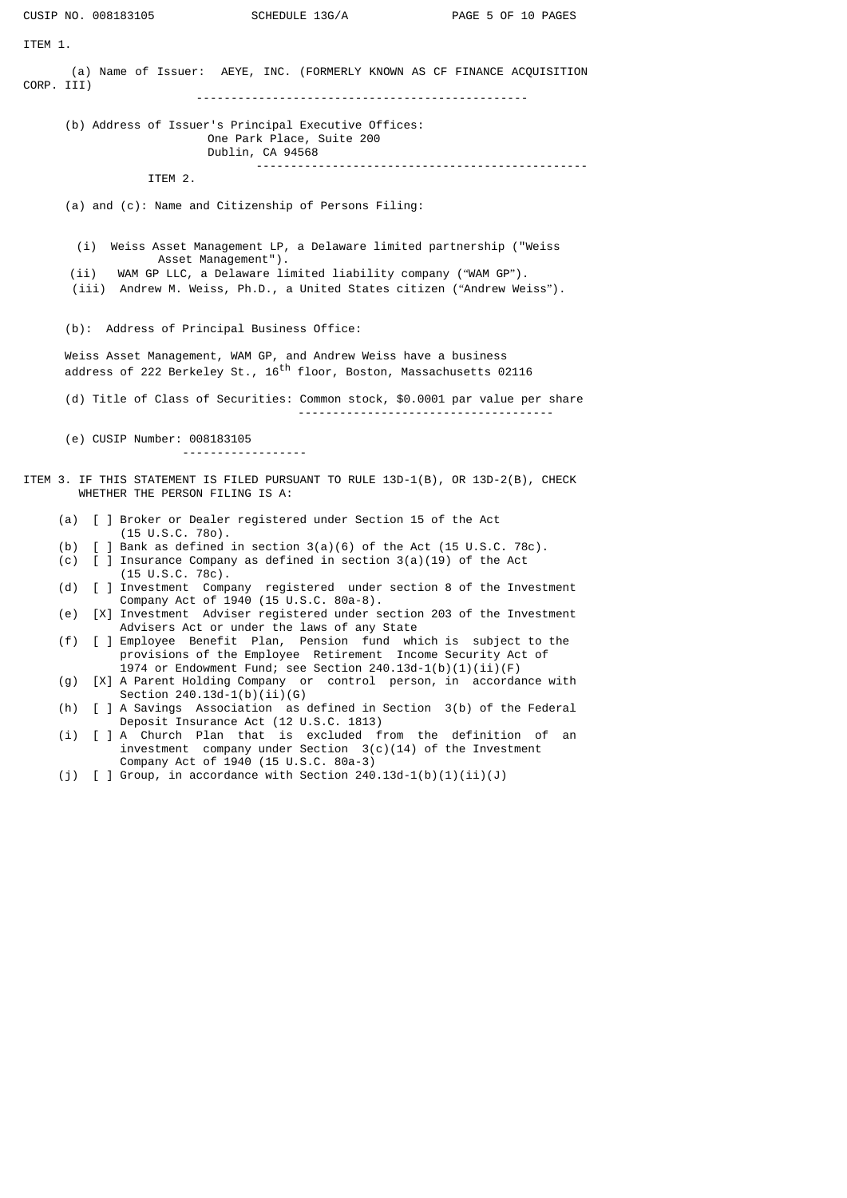|                                                                                                                     |                                                                                                                                                                                                                                                 | CUSIP NO. 008183105                        | SCHEDULE 13G/A                                                                                                                                       | PAGE 5 OF 10 PAGES                                                       |  |  |
|---------------------------------------------------------------------------------------------------------------------|-------------------------------------------------------------------------------------------------------------------------------------------------------------------------------------------------------------------------------------------------|--------------------------------------------|------------------------------------------------------------------------------------------------------------------------------------------------------|--------------------------------------------------------------------------|--|--|
| ITEM 1.                                                                                                             |                                                                                                                                                                                                                                                 |                                            |                                                                                                                                                      |                                                                          |  |  |
| CORP. III)                                                                                                          |                                                                                                                                                                                                                                                 |                                            |                                                                                                                                                      | (a) Name of Issuer: AEYE, INC. (FORMERLY KNOWN AS CF FINANCE ACQUISITION |  |  |
|                                                                                                                     |                                                                                                                                                                                                                                                 |                                            | (b) Address of Issuer's Principal Executive Offices:<br>One Park Place, Suite 200<br>Dublin, CA 94568                                                |                                                                          |  |  |
|                                                                                                                     |                                                                                                                                                                                                                                                 | ITEM 2.                                    |                                                                                                                                                      |                                                                          |  |  |
|                                                                                                                     |                                                                                                                                                                                                                                                 |                                            | (a) and (c): Name and Citizenship of Persons Filing:                                                                                                 |                                                                          |  |  |
|                                                                                                                     | (i) Weiss Asset Management LP, a Delaware limited partnership ("Weiss<br>Asset Management").<br>WAM GP LLC, a Delaware limited liability company ("WAM GP").<br>(ii)<br>(iii) Andrew M. Weiss, Ph.D., a United States citizen ("Andrew Weiss"). |                                            |                                                                                                                                                      |                                                                          |  |  |
|                                                                                                                     |                                                                                                                                                                                                                                                 | (b): Address of Principal Business Office: |                                                                                                                                                      |                                                                          |  |  |
|                                                                                                                     |                                                                                                                                                                                                                                                 |                                            | Weiss Asset Management, WAM GP, and Andrew Weiss have a business<br>address of 222 Berkeley St., 16 <sup>th</sup> floor, Boston, Massachusetts 02116 |                                                                          |  |  |
|                                                                                                                     | (d) Title of Class of Securities: Common stock, \$0.0001 par value per share                                                                                                                                                                    |                                            |                                                                                                                                                      |                                                                          |  |  |
| (e) CUSIP Number: 008183105<br>------------------                                                                   |                                                                                                                                                                                                                                                 |                                            |                                                                                                                                                      |                                                                          |  |  |
| ITEM 3. IF THIS STATEMENT IS FILED PURSUANT TO RULE 13D-1(B), OR 13D-2(B), CHECK<br>WHETHER THE PERSON FILING IS A: |                                                                                                                                                                                                                                                 |                                            |                                                                                                                                                      |                                                                          |  |  |
|                                                                                                                     | (a)                                                                                                                                                                                                                                             |                                            | [ ] Broker or Dealer registered under Section 15 of the Act                                                                                          |                                                                          |  |  |
|                                                                                                                     | (b)                                                                                                                                                                                                                                             | $(15 \cup S.C. 780)$ .                     | [ ] Bank as defined in section $3(a)(6)$ of the Act (15 U.S.C. 78c).                                                                                 |                                                                          |  |  |
|                                                                                                                     | (d)                                                                                                                                                                                                                                             | $(15 \cup S.C. 78c)$ .                     | (c) $[$ ] Insurance Company as defined in section $3(a)(19)$ of the Act                                                                              | [ ] Investment Company registered under section 8 of the Investment      |  |  |
|                                                                                                                     |                                                                                                                                                                                                                                                 |                                            | Company Act of 1940 (15 U.S.C. 80a-8).                                                                                                               |                                                                          |  |  |
|                                                                                                                     | (e)                                                                                                                                                                                                                                             |                                            | Advisers Act or under the laws of any State                                                                                                          | [X] Investment Adviser registered under section 203 of the Investment    |  |  |
|                                                                                                                     | (f)                                                                                                                                                                                                                                             |                                            | provisions of the Employee Retirement Income Security Act of                                                                                         | [ ] Employee Benefit Plan, Pension fund which is subject to the          |  |  |
|                                                                                                                     | (g)                                                                                                                                                                                                                                             | Section $240.13d-1(b)(ii)(G)$              | 1974 or Endowment Fund; see Section $240.13d-1(b)(1)(ii)(F)$                                                                                         | [X] A Parent Holding Company or control person, in accordance with       |  |  |
|                                                                                                                     | (h)                                                                                                                                                                                                                                             |                                            |                                                                                                                                                      | [ ] A Savings Association as defined in Section 3(b) of the Federal      |  |  |
|                                                                                                                     | (i)                                                                                                                                                                                                                                             |                                            | Deposit Insurance Act (12 U.S.C. 1813)<br>[ ] A Church Plan that is excluded from the                                                                | definition of<br>an                                                      |  |  |

- investment company under Section 3(c)(14) of the Investment Company Act of 1940 (15 U.S.C. 80a-3)
- (j) [ ] Group, in accordance with Section 240.13d-1(b)(1)(ii)(J)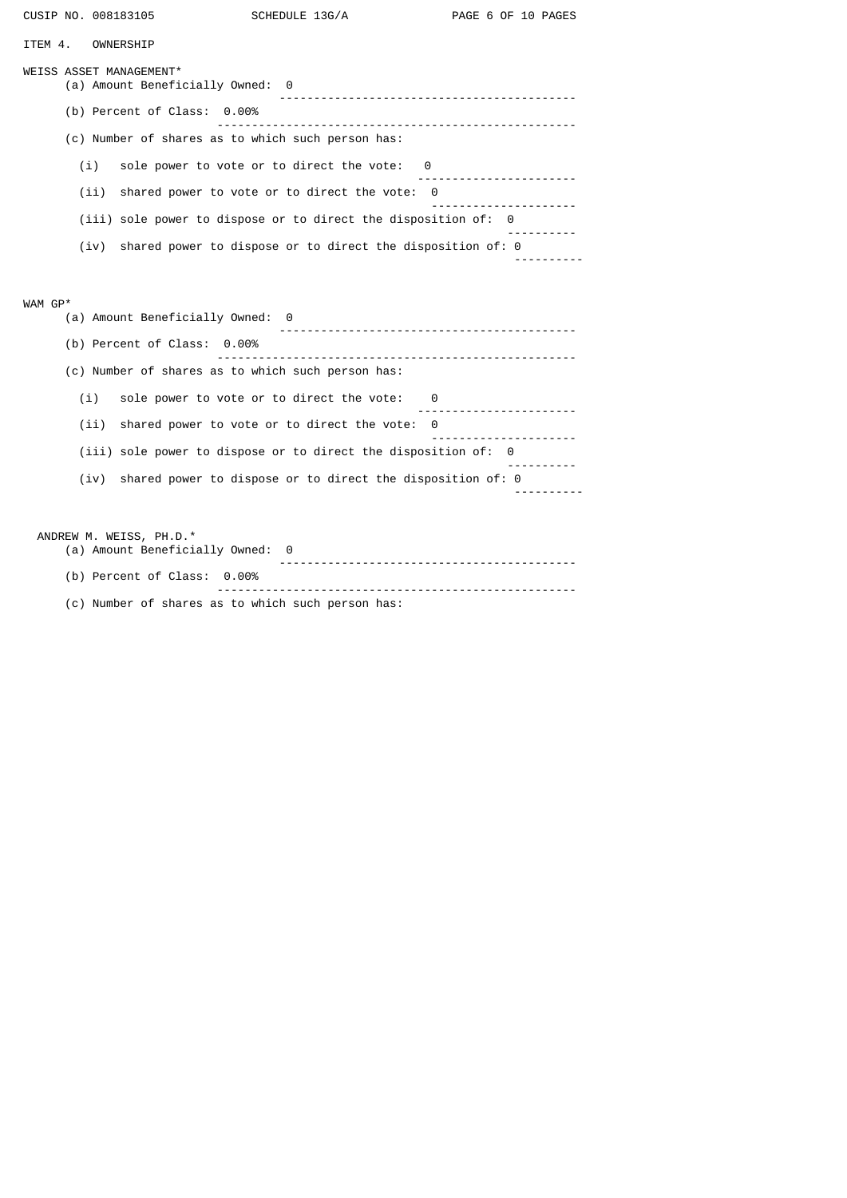| CUSIP NO. 008183105                               |                                  | SCHEDULE 13G/A                                                   | PAGE 6 OF 10 PAGES                                                                            |  |  |  |  |
|---------------------------------------------------|----------------------------------|------------------------------------------------------------------|-----------------------------------------------------------------------------------------------|--|--|--|--|
| ITEM 4.<br>OWNERSHIP                              |                                  |                                                                  |                                                                                               |  |  |  |  |
| WEISS ASSET MANAGEMENT*                           | (a) Amount Beneficially Owned: 0 |                                                                  |                                                                                               |  |  |  |  |
|                                                   | (b) Percent of Class: 0.00%      |                                                                  |                                                                                               |  |  |  |  |
|                                                   |                                  | (c) Number of shares as to which such person has:                |                                                                                               |  |  |  |  |
| (i)                                               |                                  | sole power to vote or to direct the vote:<br>- 0                 | .                                                                                             |  |  |  |  |
| (ii)                                              |                                  | shared power to vote or to direct the vote:<br>0                 | .                                                                                             |  |  |  |  |
|                                                   |                                  | (iii) sole power to dispose or to direct the disposition of: 0   |                                                                                               |  |  |  |  |
| (iv)                                              |                                  | shared power to dispose or to direct the disposition of: 0       |                                                                                               |  |  |  |  |
|                                                   |                                  |                                                                  |                                                                                               |  |  |  |  |
| WAM GP*                                           | (a) Amount Beneficially Owned: 0 |                                                                  |                                                                                               |  |  |  |  |
|                                                   | (b) Percent of Class: 0.00%      |                                                                  |                                                                                               |  |  |  |  |
| (c) Number of shares as to which such person has: |                                  |                                                                  |                                                                                               |  |  |  |  |
| (i)                                               |                                  | sole power to vote or to direct the vote:<br>- 0                 | .                                                                                             |  |  |  |  |
| (ii)                                              |                                  | shared power to vote or to direct the vote:<br>0                 |                                                                                               |  |  |  |  |
|                                                   |                                  | $(iii)$ sole power to dispose or to direct the disposition of: 0 | $\frac{1}{2}$ = $\frac{1}{2}$ = $\frac{1}{2}$ = $\frac{1}{2}$ = $\frac{1}{2}$ = $\frac{1}{2}$ |  |  |  |  |
| (iv)                                              |                                  | shared power to dispose or to direct the disposition of: 0       |                                                                                               |  |  |  |  |
|                                                   |                                  |                                                                  |                                                                                               |  |  |  |  |
| ANDREW M. WEISS, PH.D.*                           | (a) Amount Beneficially Owned:   | 0                                                                |                                                                                               |  |  |  |  |
|                                                   | (b) Percent of Class:<br>0.00%   |                                                                  |                                                                                               |  |  |  |  |

 ---------------------------------------------------- (c) Number of shares as to which such person has: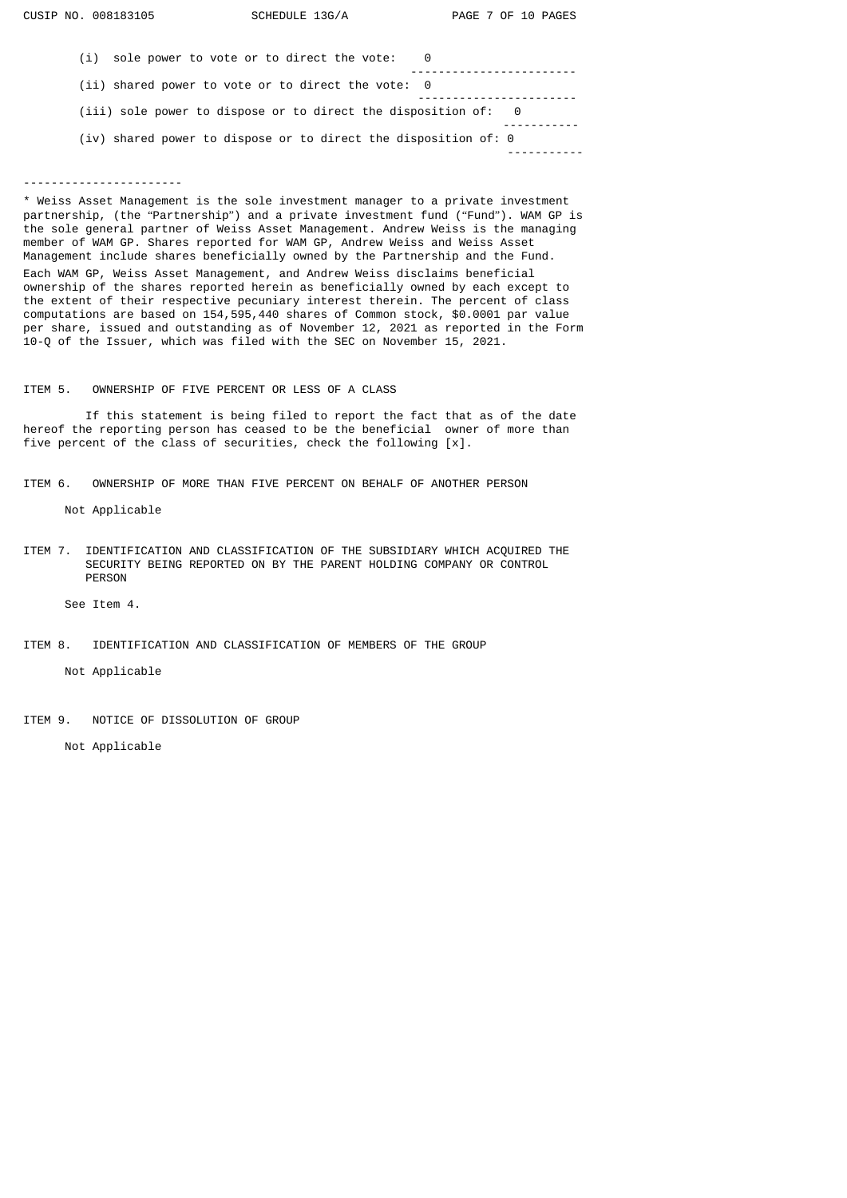| (i) sole power to vote or to direct the vote:                     | - 0 |  |
|-------------------------------------------------------------------|-----|--|
| (ii) shared power to vote or to direct the vote: 0                |     |  |
| $(iii)$ sole power to dispose or to direct the disposition of: 0  |     |  |
| $(iv)$ shared power to dispose or to direct the disposition of: 0 |     |  |
|                                                                   |     |  |

## -----------------------

\* Weiss Asset Management is the sole investment manager to a private investment partnership, (the "Partnership") and a private investment fund ("Fund"). WAM GP is the sole general partner of Weiss Asset Management. Andrew Weiss is the managing member of WAM GP. Shares reported for WAM GP, Andrew Weiss and Weiss Asset Management include shares beneficially owned by the Partnership and the Fund.

Each WAM GP, Weiss Asset Management, and Andrew Weiss disclaims beneficial ownership of the shares reported herein as beneficially owned by each except to the extent of their respective pecuniary interest therein. The percent of class computations are based on 154,595,440 shares of Common stock, \$0.0001 par value per share, issued and outstanding as of November 12, 2021 as reported in the Form 10-Q of the Issuer, which was filed with the SEC on November 15, 2021.

# ITEM 5. OWNERSHIP OF FIVE PERCENT OR LESS OF A CLASS

 If this statement is being filed to report the fact that as of the date hereof the reporting person has ceased to be the beneficial owner of more than five percent of the class of securities, check the following [x].

ITEM 6. OWNERSHIP OF MORE THAN FIVE PERCENT ON BEHALF OF ANOTHER PERSON

Not Applicable

ITEM 7. IDENTIFICATION AND CLASSIFICATION OF THE SUBSIDIARY WHICH ACQUIRED THE SECURITY BEING REPORTED ON BY THE PARENT HOLDING COMPANY OR CONTROL PERSON

See Item 4.

# ITEM 8. IDENTIFICATION AND CLASSIFICATION OF MEMBERS OF THE GROUP

Not Applicable

ITEM 9. NOTICE OF DISSOLUTION OF GROUP

Not Applicable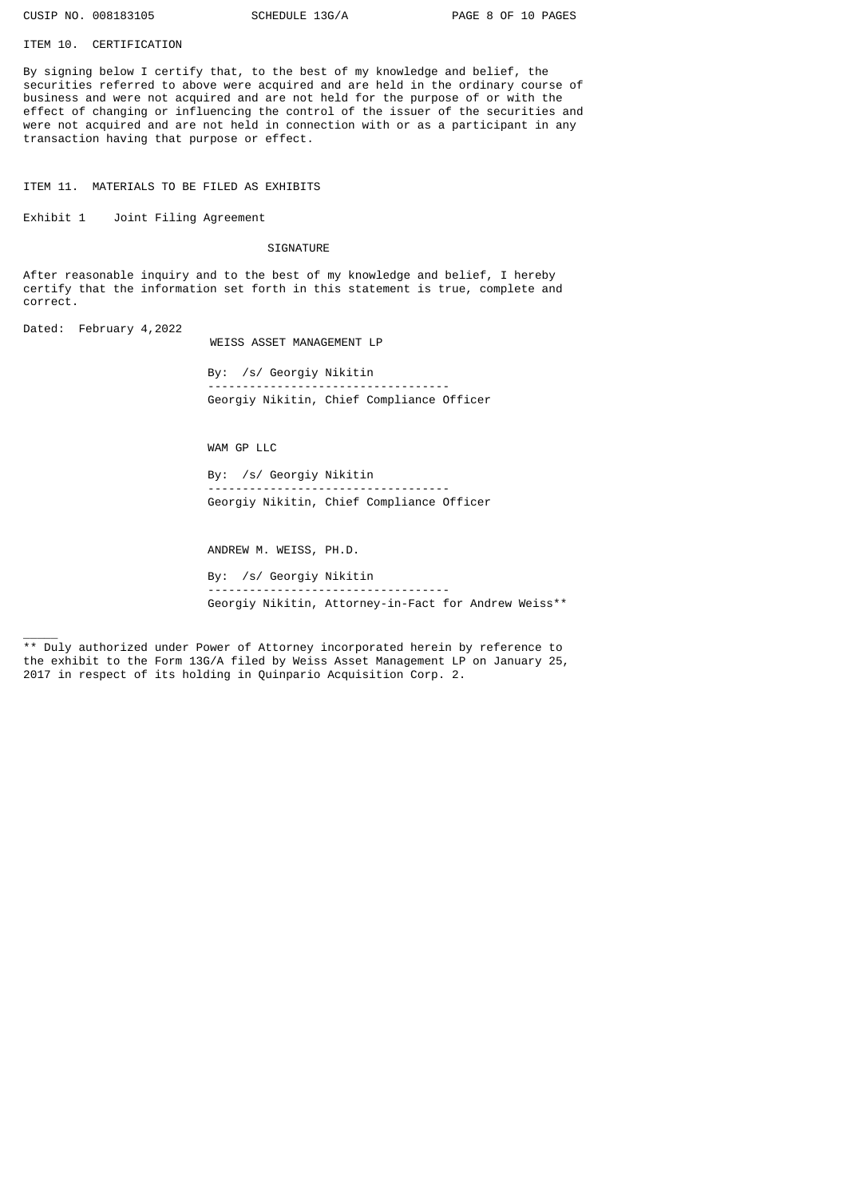ITEM 10. CERTIFICATION

By signing below I certify that, to the best of my knowledge and belief, the securities referred to above were acquired and are held in the ordinary course of business and were not acquired and are not held for the purpose of or with the effect of changing or influencing the control of the issuer of the securities and were not acquired and are not held in connection with or as a participant in any transaction having that purpose or effect.

ITEM 11. MATERIALS TO BE FILED AS EXHIBITS

Exhibit 1 Joint Filing Agreement

SIGNATURE

After reasonable inquiry and to the best of my knowledge and belief, I hereby certify that the information set forth in this statement is true, complete and correct.

Dated: February 4,2022

 $\overline{\phantom{a}}$ 

WEISS ASSET MANAGEMENT LP

By: /s/ Georgiy Nikitin ----------------------------------- Georgiy Nikitin, Chief Compliance Officer

WAM GP LLC

By: /s/ Georgiy Nikitin ----------------------------------- Georgiy Nikitin, Chief Compliance Officer

ANDREW M. WEISS, PH.D.

By: /s/ Georgiy Nikitin  $-$ Georgiy Nikitin, Attorney-in-Fact for Andrew Weiss\*\*

\*\* Duly authorized under Power of Attorney incorporated herein by reference to the exhibit to the Form 13G/A filed by Weiss Asset Management LP on January 25, 2017 in respect of its holding in Quinpario Acquisition Corp. 2.